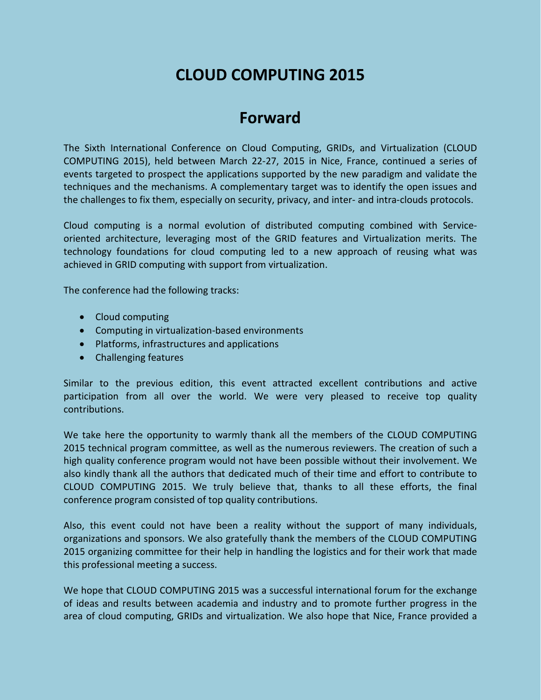# **CLOUD COMPUTING 2015**

# **Forward**

The Sixth International Conference on Cloud Computing, GRIDs, and Virtualization (CLOUD COMPUTING 2015), held between March 22-27, 2015 in Nice, France, continued a series of events targeted to prospect the applications supported by the new paradigm and validate the techniques and the mechanisms. A complementary target was to identify the open issues and the challenges to fix them, especially on security, privacy, and inter- and intra-clouds protocols.

Cloud computing is a normal evolution of distributed computing combined with Serviceoriented architecture, leveraging most of the GRID features and Virtualization merits. The technology foundations for cloud computing led to a new approach of reusing what was achieved in GRID computing with support from virtualization.

The conference had the following tracks:

- Cloud computing
- Computing in virtualization-based environments
- Platforms, infrastructures and applications
- Challenging features

Similar to the previous edition, this event attracted excellent contributions and active participation from all over the world. We were very pleased to receive top quality contributions.

We take here the opportunity to warmly thank all the members of the CLOUD COMPUTING 2015 technical program committee, as well as the numerous reviewers. The creation of such a high quality conference program would not have been possible without their involvement. We also kindly thank all the authors that dedicated much of their time and effort to contribute to CLOUD COMPUTING 2015. We truly believe that, thanks to all these efforts, the final conference program consisted of top quality contributions.

Also, this event could not have been a reality without the support of many individuals, organizations and sponsors. We also gratefully thank the members of the CLOUD COMPUTING 2015 organizing committee for their help in handling the logistics and for their work that made this professional meeting a success.

We hope that CLOUD COMPUTING 2015 was a successful international forum for the exchange of ideas and results between academia and industry and to promote further progress in the area of cloud computing, GRIDs and virtualization. We also hope that Nice, France provided a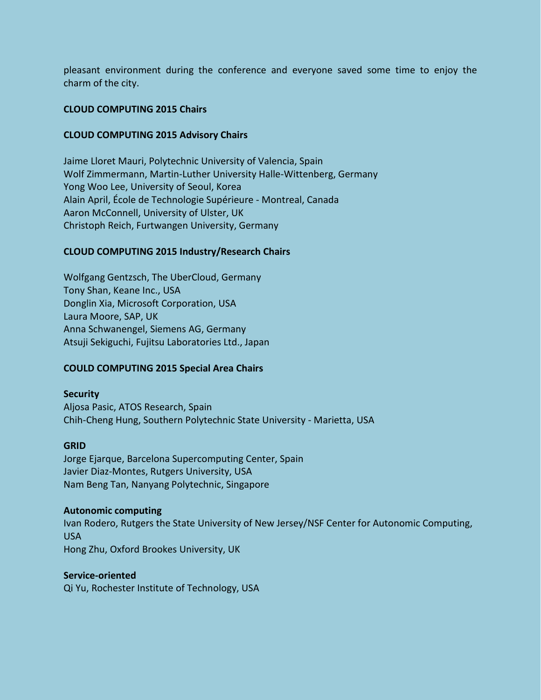pleasant environment during the conference and everyone saved some time to enjoy the charm of the city.

## **CLOUD COMPUTING 2015 Chairs**

### **CLOUD COMPUTING 2015 Advisory Chairs**

Jaime Lloret Mauri, Polytechnic University of Valencia, Spain Wolf Zimmermann, Martin-Luther University Halle-Wittenberg, Germany Yong Woo Lee, University of Seoul, Korea Alain April, École de Technologie Supérieure - Montreal, Canada Aaron McConnell, University of Ulster, UK Christoph Reich, Furtwangen University, Germany

### **CLOUD COMPUTING 2015 Industry/Research Chairs**

Wolfgang Gentzsch, The UberCloud, Germany Tony Shan, Keane Inc., USA Donglin Xia, Microsoft Corporation, USA Laura Moore, SAP, UK Anna Schwanengel, Siemens AG, Germany Atsuji Sekiguchi, Fujitsu Laboratories Ltd., Japan

#### **COULD COMPUTING 2015 Special Area Chairs**

#### **Security**

Aljosa Pasic, ATOS Research, Spain Chih-Cheng Hung, Southern Polytechnic State University - Marietta, USA

#### **GRID**

Jorge Ejarque, Barcelona Supercomputing Center, Spain Javier Diaz-Montes, Rutgers University, USA Nam Beng Tan, Nanyang Polytechnic, Singapore

#### **Autonomic computing**

Ivan Rodero, Rutgers the State University of New Jersey/NSF Center for Autonomic Computing, USA Hong Zhu, Oxford Brookes University, UK

#### **Service-oriented**

Qi Yu, Rochester Institute of Technology, USA